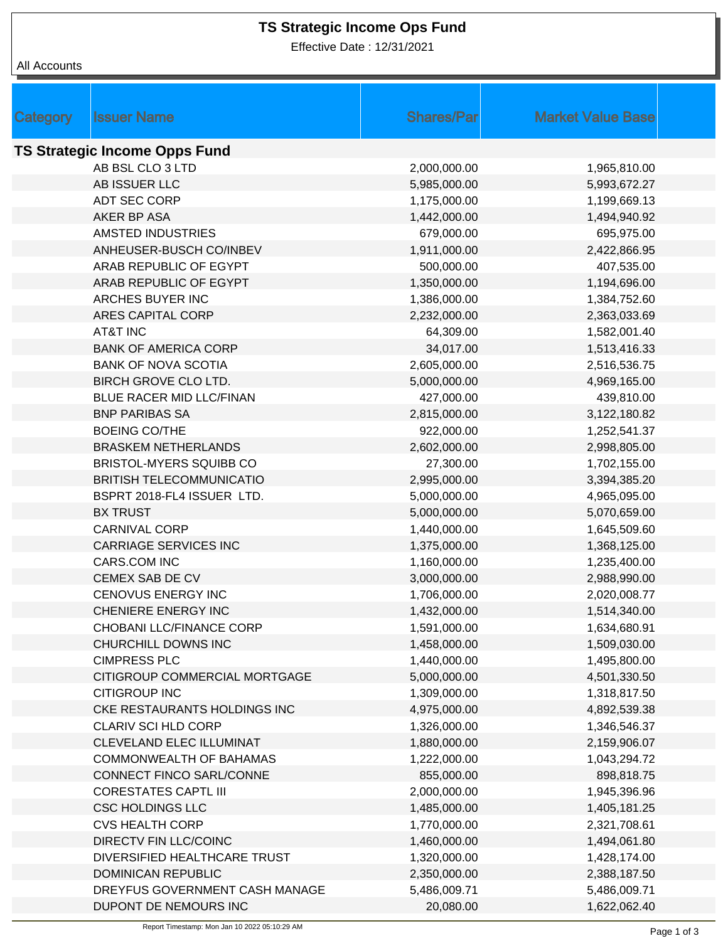Effective Date : 12/31/2021

|                                      |                                              | <b>Shares/Par</b> | <b>Market Value Base</b> |  |  |  |  |
|--------------------------------------|----------------------------------------------|-------------------|--------------------------|--|--|--|--|
| <b>Category</b>                      | <b>Issuer Name</b>                           |                   |                          |  |  |  |  |
| <b>TS Strategic Income Opps Fund</b> |                                              |                   |                          |  |  |  |  |
|                                      | AB BSL CLO 3 LTD                             | 2,000,000.00      | 1,965,810.00             |  |  |  |  |
|                                      | AB ISSUER LLC                                | 5,985,000.00      | 5,993,672.27             |  |  |  |  |
|                                      | ADT SEC CORP                                 | 1,175,000.00      | 1,199,669.13             |  |  |  |  |
|                                      | AKER BP ASA                                  | 1,442,000.00      | 1,494,940.92             |  |  |  |  |
|                                      | <b>AMSTED INDUSTRIES</b>                     | 679,000.00        | 695,975.00               |  |  |  |  |
|                                      | ANHEUSER-BUSCH CO/INBEV                      | 1,911,000.00      | 2,422,866.95             |  |  |  |  |
|                                      | ARAB REPUBLIC OF EGYPT                       | 500,000.00        | 407,535.00               |  |  |  |  |
|                                      | ARAB REPUBLIC OF EGYPT                       | 1,350,000.00      | 1,194,696.00             |  |  |  |  |
|                                      | ARCHES BUYER INC                             | 1,386,000.00      | 1,384,752.60             |  |  |  |  |
|                                      | ARES CAPITAL CORP                            | 2,232,000.00      | 2,363,033.69             |  |  |  |  |
|                                      | <b>AT&amp;T INC</b>                          | 64,309.00         | 1,582,001.40             |  |  |  |  |
|                                      | <b>BANK OF AMERICA CORP</b>                  | 34,017.00         | 1,513,416.33             |  |  |  |  |
|                                      | <b>BANK OF NOVA SCOTIA</b>                   | 2,605,000.00      | 2,516,536.75             |  |  |  |  |
|                                      | BIRCH GROVE CLO LTD.                         | 5,000,000.00      | 4,969,165.00             |  |  |  |  |
|                                      | BLUE RACER MID LLC/FINAN                     | 427,000.00        | 439,810.00               |  |  |  |  |
|                                      | <b>BNP PARIBAS SA</b>                        | 2,815,000.00      | 3,122,180.82             |  |  |  |  |
|                                      | <b>BOEING CO/THE</b>                         | 922,000.00        | 1,252,541.37             |  |  |  |  |
|                                      | <b>BRASKEM NETHERLANDS</b>                   | 2,602,000.00      | 2,998,805.00             |  |  |  |  |
|                                      | BRISTOL-MYERS SQUIBB CO                      | 27,300.00         | 1,702,155.00             |  |  |  |  |
|                                      | <b>BRITISH TELECOMMUNICATIO</b>              | 2,995,000.00      |                          |  |  |  |  |
|                                      | BSPRT 2018-FL4 ISSUER LTD.                   |                   | 3,394,385.20             |  |  |  |  |
|                                      | <b>BX TRUST</b>                              | 5,000,000.00      | 4,965,095.00             |  |  |  |  |
|                                      |                                              | 5,000,000.00      | 5,070,659.00             |  |  |  |  |
|                                      | <b>CARNIVAL CORP</b>                         | 1,440,000.00      | 1,645,509.60             |  |  |  |  |
|                                      | <b>CARRIAGE SERVICES INC</b><br>CARS.COM INC | 1,375,000.00      | 1,368,125.00             |  |  |  |  |
|                                      |                                              | 1,160,000.00      | 1,235,400.00             |  |  |  |  |
|                                      | CEMEX SAB DE CV                              | 3,000,000.00      | 2,988,990.00             |  |  |  |  |
|                                      | CENOVUS ENERGY INC                           | 1,706,000.00      | 2,020,008.77             |  |  |  |  |
|                                      | CHENIERE ENERGY INC                          | 1,432,000.00      | 1,514,340.00             |  |  |  |  |
|                                      | CHOBANI LLC/FINANCE CORP                     | 1,591,000.00      | 1,634,680.91             |  |  |  |  |
|                                      | CHURCHILL DOWNS INC                          | 1,458,000.00      | 1,509,030.00             |  |  |  |  |
|                                      | <b>CIMPRESS PLC</b>                          | 1,440,000.00      | 1,495,800.00             |  |  |  |  |
|                                      | CITIGROUP COMMERCIAL MORTGAGE                | 5,000,000.00      | 4,501,330.50             |  |  |  |  |
|                                      | <b>CITIGROUP INC</b>                         | 1,309,000.00      | 1,318,817.50             |  |  |  |  |
|                                      | CKE RESTAURANTS HOLDINGS INC                 | 4,975,000.00      | 4,892,539.38             |  |  |  |  |
|                                      | CLARIV SCI HLD CORP                          | 1,326,000.00      | 1,346,546.37             |  |  |  |  |
|                                      | CLEVELAND ELEC ILLUMINAT                     | 1,880,000.00      | 2,159,906.07             |  |  |  |  |
|                                      | COMMONWEALTH OF BAHAMAS                      | 1,222,000.00      | 1,043,294.72             |  |  |  |  |
|                                      | CONNECT FINCO SARL/CONNE                     | 855,000.00        | 898,818.75               |  |  |  |  |
|                                      | <b>CORESTATES CAPTL III</b>                  | 2,000,000.00      | 1,945,396.96             |  |  |  |  |
|                                      | <b>CSC HOLDINGS LLC</b>                      | 1,485,000.00      | 1,405,181.25             |  |  |  |  |
|                                      | <b>CVS HEALTH CORP</b>                       | 1,770,000.00      | 2,321,708.61             |  |  |  |  |
|                                      | <b>DIRECTV FIN LLC/COINC</b>                 | 1,460,000.00      | 1,494,061.80             |  |  |  |  |
|                                      | DIVERSIFIED HEALTHCARE TRUST                 | 1,320,000.00      | 1,428,174.00             |  |  |  |  |
|                                      | <b>DOMINICAN REPUBLIC</b>                    | 2,350,000.00      | 2,388,187.50             |  |  |  |  |
|                                      | DREYFUS GOVERNMENT CASH MANAGE               | 5,486,009.71      | 5,486,009.71             |  |  |  |  |
|                                      | DUPONT DE NEMOURS INC                        | 20,080.00         | 1,622,062.40             |  |  |  |  |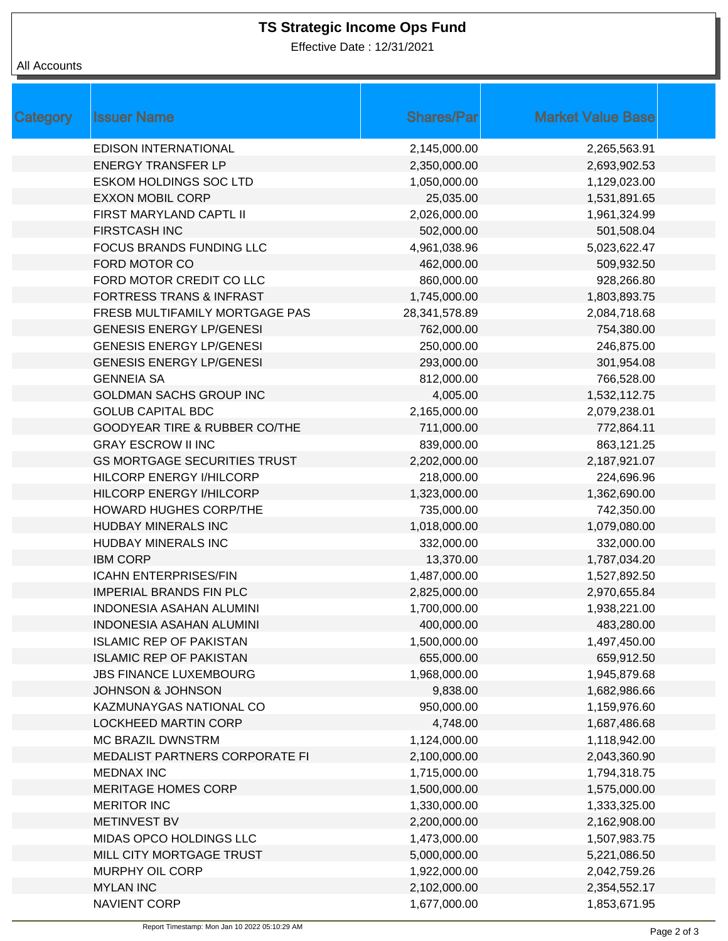Effective Date : 12/31/2021

| Category | <b>Issuer Name</b>                       | <b>Shares/Par</b> | <b>Market Value Base</b> |
|----------|------------------------------------------|-------------------|--------------------------|
|          | <b>EDISON INTERNATIONAL</b>              | 2,145,000.00      | 2,265,563.91             |
|          | <b>ENERGY TRANSFER LP</b>                | 2,350,000.00      | 2,693,902.53             |
|          | <b>ESKOM HOLDINGS SOC LTD</b>            | 1,050,000.00      | 1,129,023.00             |
|          | <b>EXXON MOBIL CORP</b>                  | 25,035.00         | 1,531,891.65             |
|          | FIRST MARYLAND CAPTL II                  | 2,026,000.00      | 1,961,324.99             |
|          | <b>FIRSTCASH INC</b>                     | 502,000.00        | 501,508.04               |
|          | FOCUS BRANDS FUNDING LLC                 | 4,961,038.96      | 5,023,622.47             |
|          | FORD MOTOR CO                            | 462,000.00        | 509,932.50               |
|          | FORD MOTOR CREDIT CO LLC                 | 860,000.00        | 928,266.80               |
|          | <b>FORTRESS TRANS &amp; INFRAST</b>      | 1,745,000.00      | 1,803,893.75             |
|          | FRESB MULTIFAMILY MORTGAGE PAS           | 28,341,578.89     | 2,084,718.68             |
|          | <b>GENESIS ENERGY LP/GENESI</b>          | 762,000.00        | 754,380.00               |
|          | <b>GENESIS ENERGY LP/GENESI</b>          | 250,000.00        | 246,875.00               |
|          | <b>GENESIS ENERGY LP/GENESI</b>          | 293,000.00        | 301,954.08               |
|          | <b>GENNEIA SA</b>                        | 812,000.00        | 766,528.00               |
|          | <b>GOLDMAN SACHS GROUP INC</b>           | 4,005.00          | 1,532,112.75             |
|          | <b>GOLUB CAPITAL BDC</b>                 | 2,165,000.00      | 2,079,238.01             |
|          | <b>GOODYEAR TIRE &amp; RUBBER CO/THE</b> | 711,000.00        | 772,864.11               |
|          | <b>GRAY ESCROW II INC</b>                | 839,000.00        | 863,121.25               |
|          | <b>GS MORTGAGE SECURITIES TRUST</b>      | 2,202,000.00      | 2,187,921.07             |
|          | HILCORP ENERGY I/HILCORP                 | 218,000.00        | 224,696.96               |
|          | HILCORP ENERGY I/HILCORP                 | 1,323,000.00      | 1,362,690.00             |
|          | <b>HOWARD HUGHES CORP/THE</b>            | 735,000.00        | 742,350.00               |
|          | <b>HUDBAY MINERALS INC</b>               | 1,018,000.00      | 1,079,080.00             |
|          | HUDBAY MINERALS INC                      | 332,000.00        | 332,000.00               |
|          | <b>IBM CORP</b>                          | 13,370.00         | 1,787,034.20             |
|          | <b>ICAHN ENTERPRISES/FIN</b>             | 1,487,000.00      | 1,527,892.50             |
|          | <b>IMPERIAL BRANDS FIN PLC</b>           | 2,825,000.00      | 2,970,655.84             |
|          | <b>INDONESIA ASAHAN ALUMINI</b>          | 1,700,000.00      | 1,938,221.00             |
|          | <b>INDONESIA ASAHAN ALUMINI</b>          | 400,000.00        | 483,280.00               |
|          | <b>ISLAMIC REP OF PAKISTAN</b>           | 1,500,000.00      | 1,497,450.00             |
|          | <b>ISLAMIC REP OF PAKISTAN</b>           | 655,000.00        | 659,912.50               |
|          | <b>JBS FINANCE LUXEMBOURG</b>            | 1,968,000.00      | 1,945,879.68             |
|          | <b>JOHNSON &amp; JOHNSON</b>             | 9,838.00          | 1,682,986.66             |
|          | KAZMUNAYGAS NATIONAL CO                  | 950,000.00        | 1,159,976.60             |
|          | <b>LOCKHEED MARTIN CORP</b>              | 4,748.00          | 1,687,486.68             |
|          | <b>MC BRAZIL DWNSTRM</b>                 | 1,124,000.00      | 1,118,942.00             |
|          | MEDALIST PARTNERS CORPORATE FI           | 2,100,000.00      | 2,043,360.90             |
|          | <b>MEDNAX INC</b>                        | 1,715,000.00      | 1,794,318.75             |
|          | <b>MERITAGE HOMES CORP</b>               | 1,500,000.00      | 1,575,000.00             |
|          | <b>MERITOR INC</b>                       | 1,330,000.00      | 1,333,325.00             |
|          | <b>METINVEST BV</b>                      | 2,200,000.00      | 2,162,908.00             |
|          | MIDAS OPCO HOLDINGS LLC                  | 1,473,000.00      | 1,507,983.75             |
|          | MILL CITY MORTGAGE TRUST                 | 5,000,000.00      | 5,221,086.50             |
|          | MURPHY OIL CORP                          | 1,922,000.00      | 2,042,759.26             |
|          | <b>MYLAN INC</b>                         | 2,102,000.00      | 2,354,552.17             |
|          | NAVIENT CORP                             | 1,677,000.00      | 1,853,671.95             |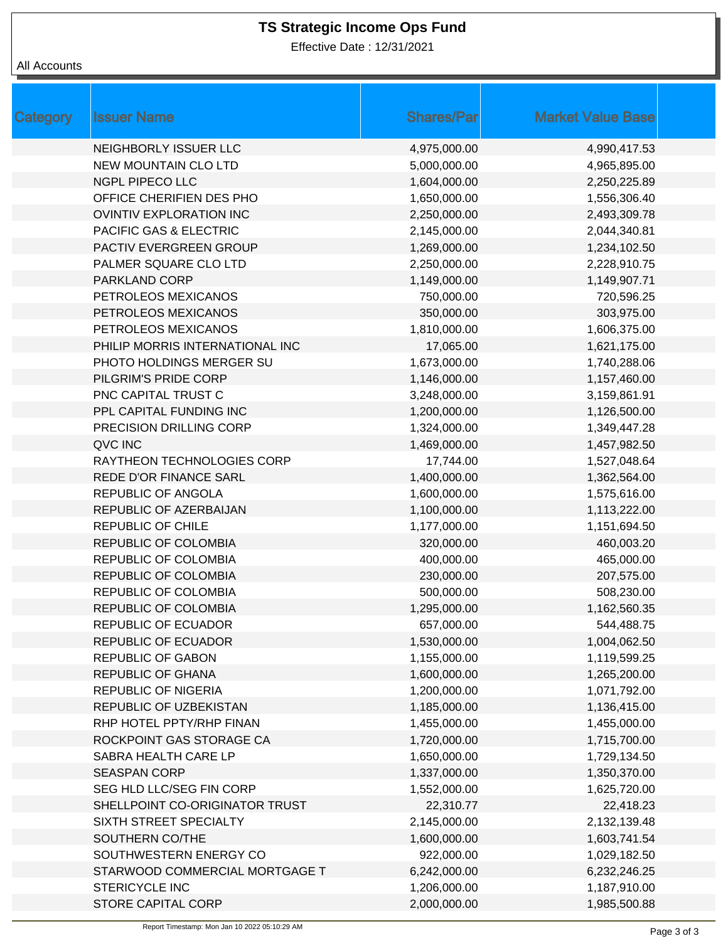Effective Date : 12/31/2021

| Category | <b>Issuer Name</b>              | <b>Shares/Par</b> | <b>Market Value Base</b> |
|----------|---------------------------------|-------------------|--------------------------|
|          | NEIGHBORLY ISSUER LLC           | 4,975,000.00      | 4,990,417.53             |
|          | <b>NEW MOUNTAIN CLO LTD</b>     | 5,000,000.00      | 4,965,895.00             |
|          | <b>NGPL PIPECO LLC</b>          | 1,604,000.00      | 2,250,225.89             |
|          | OFFICE CHERIFIEN DES PHO        | 1,650,000.00      | 1,556,306.40             |
|          | OVINTIV EXPLORATION INC         | 2,250,000.00      | 2,493,309.78             |
|          | PACIFIC GAS & ELECTRIC          | 2,145,000.00      | 2,044,340.81             |
|          | PACTIV EVERGREEN GROUP          | 1,269,000.00      | 1,234,102.50             |
|          | PALMER SQUARE CLO LTD           | 2,250,000.00      | 2,228,910.75             |
|          | PARKLAND CORP                   | 1,149,000.00      | 1,149,907.71             |
|          | PETROLEOS MEXICANOS             | 750,000.00        | 720,596.25               |
|          | PETROLEOS MEXICANOS             | 350,000.00        | 303,975.00               |
|          | PETROLEOS MEXICANOS             | 1,810,000.00      | 1,606,375.00             |
|          | PHILIP MORRIS INTERNATIONAL INC | 17,065.00         | 1,621,175.00             |
|          | PHOTO HOLDINGS MERGER SU        | 1,673,000.00      | 1,740,288.06             |
|          | PILGRIM'S PRIDE CORP            | 1,146,000.00      | 1,157,460.00             |
|          | PNC CAPITAL TRUST C             | 3,248,000.00      | 3,159,861.91             |
|          | PPL CAPITAL FUNDING INC         | 1,200,000.00      | 1,126,500.00             |
|          | PRECISION DRILLING CORP         | 1,324,000.00      | 1,349,447.28             |
|          | QVC INC                         | 1,469,000.00      | 1,457,982.50             |
|          | RAYTHEON TECHNOLOGIES CORP      | 17,744.00         | 1,527,048.64             |
|          | REDE D'OR FINANCE SARL          | 1,400,000.00      | 1,362,564.00             |
|          | REPUBLIC OF ANGOLA              | 1,600,000.00      | 1,575,616.00             |
|          | REPUBLIC OF AZERBAIJAN          | 1,100,000.00      | 1,113,222.00             |
|          | <b>REPUBLIC OF CHILE</b>        | 1,177,000.00      | 1,151,694.50             |
|          | REPUBLIC OF COLOMBIA            | 320,000.00        | 460,003.20               |
|          | REPUBLIC OF COLOMBIA            | 400,000.00        | 465,000.00               |
|          | <b>REPUBLIC OF COLOMBIA</b>     | 230,000.00        | 207,575.00               |
|          | REPUBLIC OF COLOMBIA            | 500,000.00        | 508,230.00               |
|          | <b>REPUBLIC OF COLOMBIA</b>     | 1,295,000.00      | 1,162,560.35             |
|          | REPUBLIC OF ECUADOR             | 657,000.00        | 544,488.75               |
|          | REPUBLIC OF ECUADOR             | 1,530,000.00      | 1,004,062.50             |
|          | <b>REPUBLIC OF GABON</b>        | 1,155,000.00      | 1,119,599.25             |
|          | <b>REPUBLIC OF GHANA</b>        | 1,600,000.00      | 1,265,200.00             |
|          | <b>REPUBLIC OF NIGERIA</b>      | 1,200,000.00      | 1,071,792.00             |
|          | REPUBLIC OF UZBEKISTAN          | 1,185,000.00      | 1,136,415.00             |
|          | RHP HOTEL PPTY/RHP FINAN        | 1,455,000.00      | 1,455,000.00             |
|          | ROCKPOINT GAS STORAGE CA        | 1,720,000.00      | 1,715,700.00             |
|          | SABRA HEALTH CARE LP            | 1,650,000.00      | 1,729,134.50             |
|          | <b>SEASPAN CORP</b>             | 1,337,000.00      | 1,350,370.00             |
|          | SEG HLD LLC/SEG FIN CORP        | 1,552,000.00      | 1,625,720.00             |
|          | SHELLPOINT CO-ORIGINATOR TRUST  | 22,310.77         | 22,418.23                |
|          | SIXTH STREET SPECIALTY          | 2,145,000.00      | 2,132,139.48             |
|          | SOUTHERN CO/THE                 | 1,600,000.00      | 1,603,741.54             |
|          | SOUTHWESTERN ENERGY CO          | 922,000.00        | 1,029,182.50             |
|          | STARWOOD COMMERCIAL MORTGAGE T  | 6,242,000.00      | 6,232,246.25             |
|          | STERICYCLE INC                  | 1,206,000.00      | 1,187,910.00             |
|          | STORE CAPITAL CORP              | 2,000,000.00      | 1,985,500.88             |